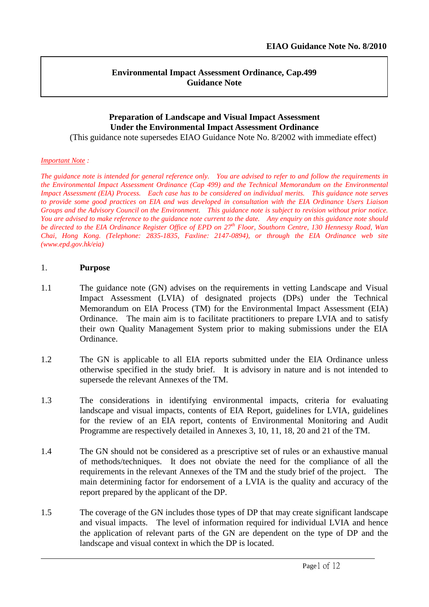#### **Environmental Impact Assessment Ordinance, Cap.499 Guidance Note**

#### **Preparation of Landscape and Visual Impact Assessment Under the Environmental Impact Assessment Ordinance**

(This guidance note supersedes EIAO Guidance Note No. 8/2002 with immediate effect)

#### *Important Note :*

*The guidance note is intended for general reference only. You are advised to refer to and follow the requirements in the Environmental Impact Assessment Ordinance (Cap 499) and the Technical Memorandum on the Environmental Impact Assessment (EIA) Process. Each case has to be considered on individual merits. This guidance note serves to provide some good practices on EIA and was developed in consultation with the EIA Ordinance Users Liaison Groups and the Advisory Council on the Environment. This guidance note is subject to revision without prior notice. You are advised to make reference to the guidance note current to the date. Any enquiry on this guidance note should be directed to the EIA Ordinance Register Office of EPD on 27th Floor, Southorn Centre, 130 Hennessy Road, Wan Chai, Hong Kong. (Telephone: 2835-1835, Faxline: 2147-0894), or through the EIA Ordinance web site (www.epd.gov.hk/eia)*

#### 1. **Purpose**

- 1.1 The guidance note (GN) advises on the requirements in vetting Landscape and Visual Impact Assessment (LVIA) of designated projects (DPs) under the Technical Memorandum on EIA Process (TM) for the Environmental Impact Assessment (EIA) Ordinance. The main aim is to facilitate practitioners to prepare LVIA and to satisfy their own Quality Management System prior to making submissions under the EIA Ordinance.
- 1.2 The GN is applicable to all EIA reports submitted under the EIA Ordinance unless otherwise specified in the study brief. It is advisory in nature and is not intended to supersede the relevant Annexes of the TM.
- 1.3 The considerations in identifying environmental impacts, criteria for evaluating landscape and visual impacts, contents of EIA Report, guidelines for LVIA, guidelines for the review of an EIA report, contents of Environmental Monitoring and Audit Programme are respectively detailed in Annexes 3, 10, 11, 18, 20 and 21 of the TM.
- 1.4 The GN should not be considered as a prescriptive set of rules or an exhaustive manual of methods/techniques. It does not obviate the need for the compliance of all the requirements in the relevant Annexes of the TM and the study brief of the project. The main determining factor for endorsement of a LVIA is the quality and accuracy of the report prepared by the applicant of the DP.
- 1.5 The coverage of the GN includes those types of DP that may create significant landscape and visual impacts. The level of information required for individual LVIA and hence the application of relevant parts of the GN are dependent on the type of DP and the landscape and visual context in which the DP is located.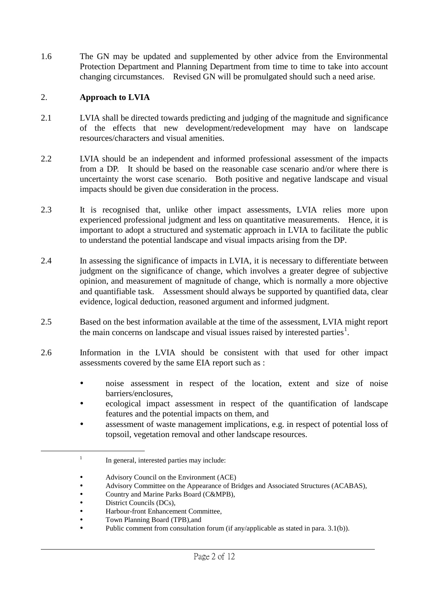1.6 The GN may be updated and supplemented by other advice from the Environmental Protection Department and Planning Department from time to time to take into account changing circumstances. Revised GN will be promulgated should such a need arise.

#### 2. **Approach to LVIA**

- 2.1 LVIA shall be directed towards predicting and judging of the magnitude and significance of the effects that new development/redevelopment may have on landscape resources/characters and visual amenities.
- 2.2 LVIA should be an independent and informed professional assessment of the impacts from a DP. It should be based on the reasonable case scenario and/or where there is uncertainty the worst case scenario. Both positive and negative landscape and visual impacts should be given due consideration in the process.
- 2.3 It is recognised that, unlike other impact assessments, LVIA relies more upon experienced professional judgment and less on quantitative measurements. Hence, it is important to adopt a structured and systematic approach in LVIA to facilitate the public to understand the potential landscape and visual impacts arising from the DP.
- 2.4 In assessing the significance of impacts in LVIA, it is necessary to differentiate between judgment on the significance of change, which involves a greater degree of subjective opinion, and measurement of magnitude of change, which is normally a more objective and quantifiable task. Assessment should always be supported by quantified data, clear evidence, logical deduction, reasoned argument and informed judgment.
- 2.5 Based on the best information available at the time of the assessment, LVIA might report the main concerns on landscape and visual issues raised by interested parties<sup>[1](#page-1-0)</sup>.
- 2.6 Information in the LVIA should be consistent with that used for other impact assessments covered by the same EIA report such as :
	- noise assessment in respect of the location, extent and size of noise barriers/enclosures,
	- ecological impact assessment in respect of the quantification of landscape features and the potential impacts on them, and
	- assessment of waste management implications, e.g. in respect of potential loss of topsoil, vegetation removal and other landscape resources.

- Advisory Committee on the Appearance of Bridges and Associated Structures (ACABAS),<br>• Country and Marine Parks Board (C&MPB)
- Country and Marine Parks Board (C&MPB),<br>• District Councils (DCs)
- District Councils (DCs),<br>• Harbour-front Enhancem

<span id="page-1-0"></span> $\overline{a}$ 

Public comment from consultation forum (if any/applicable as stated in para. 3.1(b)).

<sup>&</sup>lt;sup>1</sup> In general, interested parties may include:

Advisory Council on the Environment (ACE)

Harbour-front Enhancement Committee,

Town Planning Board (TPB),and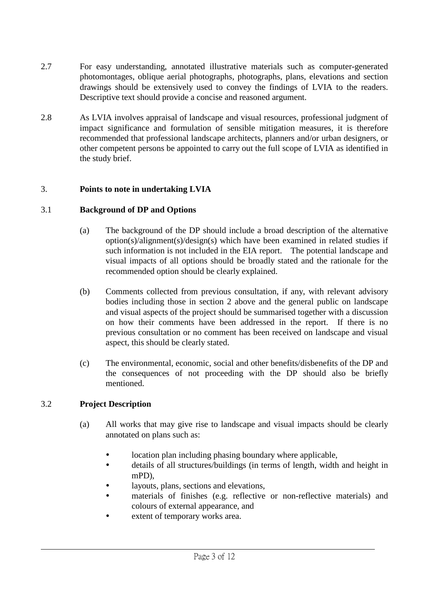- 2.7 For easy understanding, annotated illustrative materials such as computer-generated photomontages, oblique aerial photographs, photographs, plans, elevations and section drawings should be extensively used to convey the findings of LVIA to the readers. Descriptive text should provide a concise and reasoned argument.
- 2.8 As LVIA involves appraisal of landscape and visual resources, professional judgment of impact significance and formulation of sensible mitigation measures, it is therefore recommended that professional landscape architects, planners and/or urban designers, or other competent persons be appointed to carry out the full scope of LVIA as identified in the study brief.

# 3. **Points to note in undertaking LVIA**

#### 3.1 **Background of DP and Options**

- (a) The background of the DP should include a broad description of the alternative option(s)/alignment(s)/design(s) which have been examined in related studies if such information is not included in the EIA report. The potential landscape and visual impacts of all options should be broadly stated and the rationale for the recommended option should be clearly explained.
- (b) Comments collected from previous consultation, if any, with relevant advisory bodies including those in section 2 above and the general public on landscape and visual aspects of the project should be summarised together with a discussion on how their comments have been addressed in the report. If there is no previous consultation or no comment has been received on landscape and visual aspect, this should be clearly stated.
- (c) The environmental, economic, social and other benefits/disbenefits of the DP and the consequences of not proceeding with the DP should also be briefly mentioned.

# 3.2 **Project Description**

- (a) All works that may give rise to landscape and visual impacts should be clearly annotated on plans such as:
	- location plan including phasing boundary where applicable,
	- details of all structures/buildings (in terms of length, width and height in mPD),
	- layouts, plans, sections and elevations,
	- materials of finishes (e.g. reflective or non-reflective materials) and colours of external appearance, and

l

extent of temporary works area.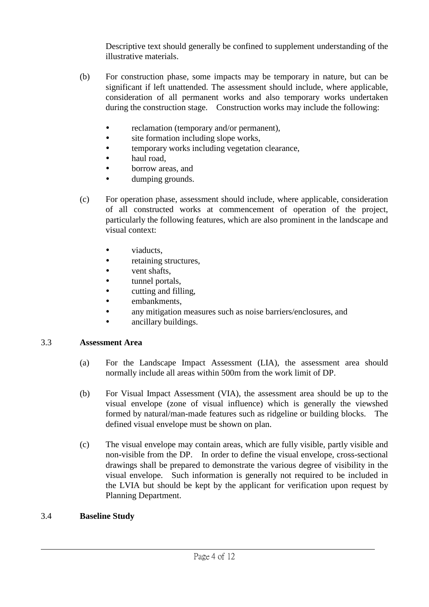Descriptive text should generally be confined to supplement understanding of the illustrative materials.

- (b) For construction phase, some impacts may be temporary in nature, but can be significant if left unattended. The assessment should include, where applicable, consideration of all permanent works and also temporary works undertaken during the construction stage. Construction works may include the following:
	- reclamation (temporary and/or permanent),
	- site formation including slope works,
	- temporary works including vegetation clearance,
	- haul road,
	- borrow areas, and
	- dumping grounds.
- (c) For operation phase, assessment should include, where applicable, consideration of all constructed works at commencement of operation of the project, particularly the following features, which are also prominent in the landscape and visual context:
	- viaducts,
	- retaining structures,
	- vent shafts,
	- tunnel portals,
	- cutting and filling,
	- embankments,
	- any mitigation measures such as noise barriers/enclosures, and
	- ancillary buildings.

# 3.3 **Assessment Area**

- (a) For the Landscape Impact Assessment (LIA), the assessment area should normally include all areas within 500m from the work limit of DP.
- (b) For Visual Impact Assessment (VIA), the assessment area should be up to the visual envelope (zone of visual influence) which is generally the viewshed formed by natural/man-made features such as ridgeline or building blocks. The defined visual envelope must be shown on plan.
- (c) The visual envelope may contain areas, which are fully visible, partly visible and non-visible from the DP. In order to define the visual envelope, cross-sectional drawings shall be prepared to demonstrate the various degree of visibility in the visual envelope. Such information is generally not required to be included in the LVIA but should be kept by the applicant for verification upon request by Planning Department.

l

# 3.4 **Baseline Study**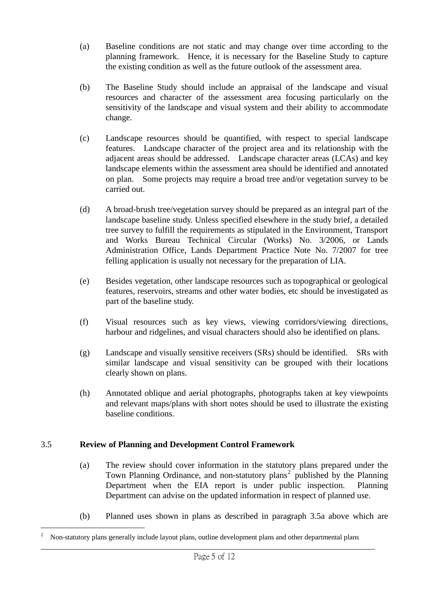- (a) Baseline conditions are not static and may change over time according to the planning framework. Hence, it is necessary for the Baseline Study to capture the existing condition as well as the future outlook of the assessment area.
- (b) The Baseline Study should include an appraisal of the landscape and visual resources and character of the assessment area focusing particularly on the sensitivity of the landscape and visual system and their ability to accommodate change.
- (c) Landscape resources should be quantified, with respect to special landscape features. Landscape character of the project area and its relationship with the adjacent areas should be addressed. Landscape character areas (LCAs) and key landscape elements within the assessment area should be identified and annotated on plan. Some projects may require a broad tree and/or vegetation survey to be carried out.
- (d) A broad-brush tree/vegetation survey should be prepared as an integral part of the landscape baseline study. Unless specified elsewhere in the study brief, a detailed tree survey to fulfill the requirements as stipulated in the Environment, Transport and Works Bureau Technical Circular (Works) No. 3/2006, or Lands Administration Office, Lands Department Practice Note No. 7/2007 for tree felling application is usually not necessary for the preparation of LIA.
- (e) Besides vegetation, other landscape resources such as topographical or geological features, reservoirs, streams and other water bodies, etc should be investigated as part of the baseline study.
- (f) Visual resources such as key views, viewing corridors/viewing directions, harbour and ridgelines, and visual characters should also be identified on plans.
- (g) Landscape and visually sensitive receivers (SRs) should be identified. SRs with similar landscape and visual sensitivity can be grouped with their locations clearly shown on plans.
- (h) Annotated oblique and aerial photographs, photographs taken at key viewpoints and relevant maps/plans with short notes should be used to illustrate the existing baseline conditions.

# 3.5 **Review of Planning and Development Control Framework**

 $\overline{a}$ 

- (a) The review should cover information in the statutory plans prepared under the Town Planning Ordinance, and non-statutory plans<sup>[2](#page-4-0)</sup> published by the Planning Department when the EIA report is under public inspection. Planning Department can advise on the updated information in respect of planned use.
- (b) Planned uses shown in plans as described in paragraph 3.5a above which are

<span id="page-4-0"></span><sup>2</sup> Non-statutory plans generally include layout plans, outline development plans and other departmental plans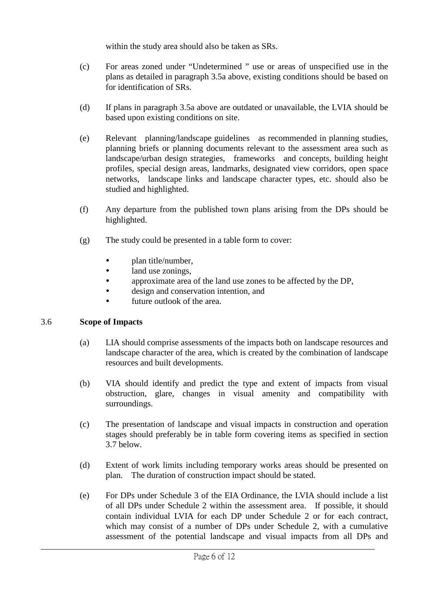within the study area should also be taken as SRs.

- (c) For areas zoned under "Undetermined " use or areas of unspecified use in the plans as detailed in paragraph 3.5a above, existing conditions should be based on for identification of SRs.
- (d) If plans in paragraph 3.5a above are outdated or unavailable, the LVIA should be based upon existing conditions on site.
- (e) Relevant planning/landscape guidelines as recommended in planning studies, planning briefs or planning documents relevant to the assessment area such as landscape/urban design strategies, frameworks and concepts, building height profiles, special design areas, landmarks, designated view corridors, open space networks, landscape links and landscape character types, etc. should also be studied and highlighted.
- (f) Any departure from the published town plans arising from the DPs should be highlighted.
- (g) The study could be presented in a table form to cover:
	- plan title/number,
	- land use zonings.
	- approximate area of the land use zones to be affected by the DP,
	- design and conservation intention, and
	- future outlook of the area.

# 3.6 **Scope of Impacts**

- (a) LIA should comprise assessments of the impacts both on landscape resources and landscape character of the area, which is created by the combination of landscape resources and built developments.
- (b) VIA should identify and predict the type and extent of impacts from visual obstruction, glare, changes in visual amenity and compatibility with surroundings.
- (c) The presentation of landscape and visual impacts in construction and operation stages should preferably be in table form covering items as specified in section 3.7 below.
- (d) Extent of work limits including temporary works areas should be presented on plan. The duration of construction impact should be stated.
- (e) For DPs under Schedule 3 of the EIA Ordinance, the LVIA should include a list of all DPs under Schedule 2 within the assessment area. If possible, it should contain individual LVIA for each DP under Schedule 2 or for each contract, which may consist of a number of DPs under Schedule 2, with a cumulative assessment of the potential landscape and visual impacts from all DPs and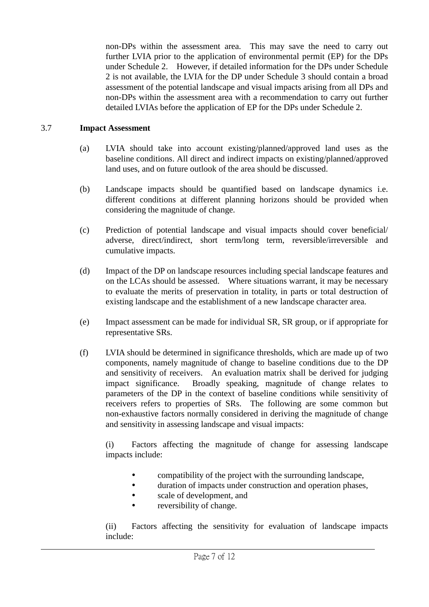non-DPs within the assessment area. This may save the need to carry out further LVIA prior to the application of environmental permit (EP) for the DPs under Schedule 2. However, if detailed information for the DPs under Schedule 2 is not available, the LVIA for the DP under Schedule 3 should contain a broad assessment of the potential landscape and visual impacts arising from all DPs and non-DPs within the assessment area with a recommendation to carry out further detailed LVIAs before the application of EP for the DPs under Schedule 2.

# 3.7 **Impact Assessment**

- (a) LVIA should take into account existing/planned/approved land uses as the baseline conditions. All direct and indirect impacts on existing/planned/approved land uses, and on future outlook of the area should be discussed.
- (b) Landscape impacts should be quantified based on landscape dynamics i.e. different conditions at different planning horizons should be provided when considering the magnitude of change.
- (c) Prediction of potential landscape and visual impacts should cover beneficial/ adverse, direct/indirect, short term/long term, reversible/irreversible and cumulative impacts.
- (d) Impact of the DP on landscape resources including special landscape features and on the LCAs should be assessed. Where situations warrant, it may be necessary to evaluate the merits of preservation in totality, in parts or total destruction of existing landscape and the establishment of a new landscape character area.
- (e) Impact assessment can be made for individual SR, SR group, or if appropriate for representative SRs.
- (f) LVIA should be determined in significance thresholds, which are made up of two components, namely magnitude of change to baseline conditions due to the DP and sensitivity of receivers. An evaluation matrix shall be derived for judging impact significance. Broadly speaking, magnitude of change relates to parameters of the DP in the context of baseline conditions while sensitivity of receivers refers to properties of SRs. The following are some common but non-exhaustive factors normally considered in deriving the magnitude of change and sensitivity in assessing landscape and visual impacts:

(i) Factors affecting the magnitude of change for assessing landscape impacts include:

- compatibility of the project with the surrounding landscape,
- duration of impacts under construction and operation phases,
- scale of development, and
- reversibility of change.

(ii) Factors affecting the sensitivity for evaluation of landscape impacts include: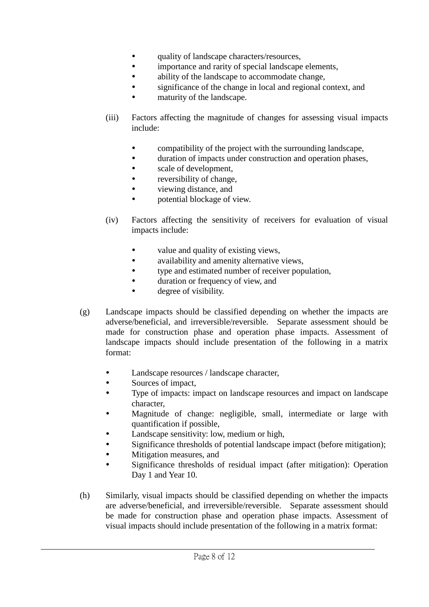- quality of landscape characters/resources,
- importance and rarity of special landscape elements,
- ability of the landscape to accommodate change,
- significance of the change in local and regional context, and
- maturity of the landscape.
- (iii) Factors affecting the magnitude of changes for assessing visual impacts include:
	- compatibility of the project with the surrounding landscape,
	- duration of impacts under construction and operation phases,
	- scale of development,
	- reversibility of change,
	- viewing distance, and
	- potential blockage of view.
- (iv) Factors affecting the sensitivity of receivers for evaluation of visual impacts include:
	- value and quality of existing views,
	- availability and amenity alternative views,
	- type and estimated number of receiver population,
	- duration or frequency of view, and
	- degree of visibility.
- (g) Landscape impacts should be classified depending on whether the impacts are adverse/beneficial, and irreversible/reversible. Separate assessment should be made for construction phase and operation phase impacts. Assessment of landscape impacts should include presentation of the following in a matrix format:
	- Landscape resources / landscape character,
	- Sources of impact,
	- Type of impacts: impact on landscape resources and impact on landscape character,
	- Magnitude of change: negligible, small, intermediate or large with quantification if possible,
	- Landscape sensitivity: low, medium or high,
	- Significance thresholds of potential landscape impact (before mitigation);
	- Mitigation measures, and
	- Significance thresholds of residual impact (after mitigation): Operation Day 1 and Year 10.

l

(h) Similarly, visual impacts should be classified depending on whether the impacts are adverse/beneficial, and irreversible/reversible. Separate assessment should be made for construction phase and operation phase impacts. Assessment of visual impacts should include presentation of the following in a matrix format: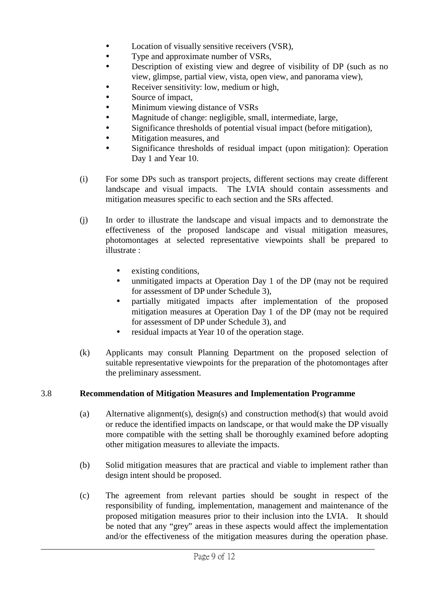- Location of visually sensitive receivers (VSR),
- Type and approximate number of VSRs,
- Description of existing view and degree of visibility of DP (such as no view, glimpse, partial view, vista, open view, and panorama view),
- Receiver sensitivity: low, medium or high,
- Source of impact,
- Minimum viewing distance of VSRs
- Magnitude of change: negligible, small, intermediate, large,
- Significance thresholds of potential visual impact (before mitigation),
- Mitigation measures, and
- Significance thresholds of residual impact (upon mitigation): Operation Day 1 and Year 10.
- (i) For some DPs such as transport projects, different sections may create different landscape and visual impacts. The LVIA should contain assessments and mitigation measures specific to each section and the SRs affected.
- (j) In order to illustrate the landscape and visual impacts and to demonstrate the effectiveness of the proposed landscape and visual mitigation measures, photomontages at selected representative viewpoints shall be prepared to illustrate :
	- existing conditions,
	- unmitigated impacts at Operation Day 1 of the DP (may not be required for assessment of DP under Schedule 3),
	- partially mitigated impacts after implementation of the proposed mitigation measures at Operation Day 1 of the DP (may not be required for assessment of DP under Schedule 3), and
	- residual impacts at Year 10 of the operation stage.
- (k) Applicants may consult Planning Department on the proposed selection of suitable representative viewpoints for the preparation of the photomontages after the preliminary assessment.

# 3.8 **Recommendation of Mitigation Measures and Implementation Programme**

- (a) Alternative alignment(s), design(s) and construction method(s) that would avoid or reduce the identified impacts on landscape, or that would make the DP visually more compatible with the setting shall be thoroughly examined before adopting other mitigation measures to alleviate the impacts.
- (b) Solid mitigation measures that are practical and viable to implement rather than design intent should be proposed.
- (c) The agreement from relevant parties should be sought in respect of the responsibility of funding, implementation, management and maintenance of the proposed mitigation measures prior to their inclusion into the LVIA. It should be noted that any "grey" areas in these aspects would affect the implementation and/or the effectiveness of the mitigation measures during the operation phase.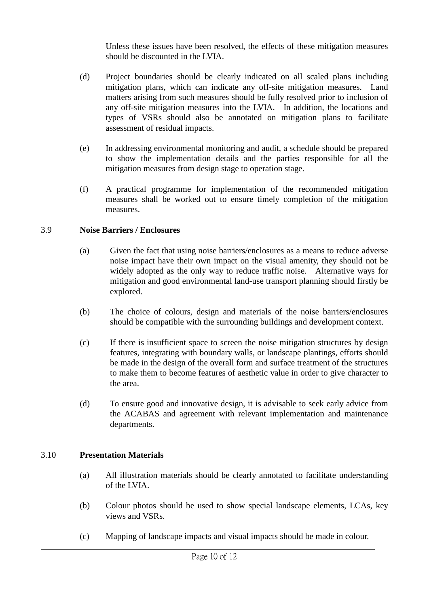Unless these issues have been resolved, the effects of these mitigation measures should be discounted in the LVIA.

- (d) Project boundaries should be clearly indicated on all scaled plans including mitigation plans, which can indicate any off-site mitigation measures. Land matters arising from such measures should be fully resolved prior to inclusion of any off-site mitigation measures into the LVIA. In addition, the locations and types of VSRs should also be annotated on mitigation plans to facilitate assessment of residual impacts.
- (e) In addressing environmental monitoring and audit, a schedule should be prepared to show the implementation details and the parties responsible for all the mitigation measures from design stage to operation stage.
- (f) A practical programme for implementation of the recommended mitigation measures shall be worked out to ensure timely completion of the mitigation measures.

#### 3.9 **Noise Barriers / Enclosures**

- (a) Given the fact that using noise barriers/enclosures as a means to reduce adverse noise impact have their own impact on the visual amenity, they should not be widely adopted as the only way to reduce traffic noise. Alternative ways for mitigation and good environmental land-use transport planning should firstly be explored.
- (b) The choice of colours, design and materials of the noise barriers/enclosures should be compatible with the surrounding buildings and development context.
- (c) If there is insufficient space to screen the noise mitigation structures by design features, integrating with boundary walls, or landscape plantings, efforts should be made in the design of the overall form and surface treatment of the structures to make them to become features of aesthetic value in order to give character to the area.
- (d) To ensure good and innovative design, it is advisable to seek early advice from the ACABAS and agreement with relevant implementation and maintenance departments.

#### 3.10 **Presentation Materials**

- (a) All illustration materials should be clearly annotated to facilitate understanding of the LVIA.
- (b) Colour photos should be used to show special landscape elements, LCAs, key views and VSRs.

l

(c) Mapping of landscape impacts and visual impacts should be made in colour.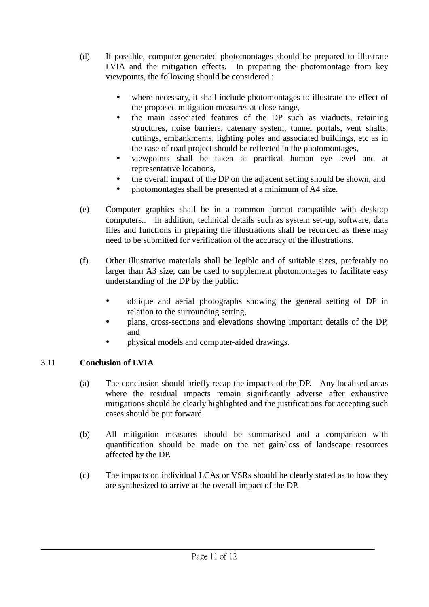- (d) If possible, computer-generated photomontages should be prepared to illustrate LVIA and the mitigation effects. In preparing the photomontage from key viewpoints, the following should be considered :
	- where necessary, it shall include photomontages to illustrate the effect of the proposed mitigation measures at close range,
	- the main associated features of the DP such as viaducts, retaining structures, noise barriers, catenary system, tunnel portals, vent shafts, cuttings, embankments, lighting poles and associated buildings, etc as in the case of road project should be reflected in the photomontages,
	- viewpoints shall be taken at practical human eye level and at representative locations,
	- the overall impact of the DP on the adjacent setting should be shown, and
	- photomontages shall be presented at a minimum of A4 size.
- (e) Computer graphics shall be in a common format compatible with desktop computers.. In addition, technical details such as system set-up, software, data files and functions in preparing the illustrations shall be recorded as these may need to be submitted for verification of the accuracy of the illustrations.
- (f) Other illustrative materials shall be legible and of suitable sizes, preferably no larger than A3 size, can be used to supplement photomontages to facilitate easy understanding of the DP by the public:
	- oblique and aerial photographs showing the general setting of DP in relation to the surrounding setting,
	- plans, cross-sections and elevations showing important details of the DP, and
	- physical models and computer-aided drawings.

# 3.11 **Conclusion of LVIA**

- (a) The conclusion should briefly recap the impacts of the DP. Any localised areas where the residual impacts remain significantly adverse after exhaustive mitigations should be clearly highlighted and the justifications for accepting such cases should be put forward.
- (b) All mitigation measures should be summarised and a comparison with quantification should be made on the net gain/loss of landscape resources affected by the DP.
- (c) The impacts on individual LCAs or VSRs should be clearly stated as to how they are synthesized to arrive at the overall impact of the DP.